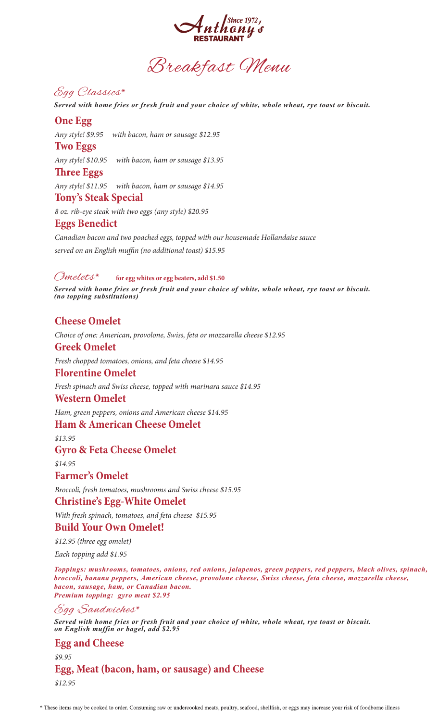

# Egg Classics\*

*Served with home fries or fresh fruit and your choice of white, whole wheat, rye toast or biscuit.*

### **One Egg**

*Any style! \$9.95 with bacon, ham or sausage \$12.95*

## **Two Eggs**

*Any style! \$10.95 with bacon, ham or sausage \$13.95*

#### **Three Eggs**

*Any style! \$11.95 with bacon, ham or sausage \$14.95*

#### **Tony's Steak Special**

*8 oz. rib-eye steak with two eggs (any style) \$20.95*

#### **Eggs Benedict**

*Canadian bacon and two poached eggs, topped with our housemade Hollandaise sauce* served on an English muffin (no additional toast) \$15.95

#### Omelets\* **for egg whites or egg beaters, add \$1.50**

*Served with home fries or fresh fruit and your choice of white, whole wheat, rye toast or biscuit. (no topping substitutions)*

## **Cheese Omelet**

*Choice of one: American, provolone, Swiss, feta or mozzarella cheese \$12.95*

### **Greek Omelet**

*Fresh chopped tomatoes, onions, and feta cheese \$14.95*

#### **Florentine Omelet**

*Fresh spinach and Swiss cheese, topped with marinara sauce \$14.95*

#### **Western Omelet**

*Ham, green peppers, onions and American cheese \$14.95*

#### **Ham & American Cheese Omelet**

*\$13.95*

#### **Gyro & Feta Cheese Omelet**

*\$14.95*

#### **Farmer's Omelet**

*Broccoli, fresh tomatoes, mushrooms and Swiss cheese \$15.95*

#### **Christine's Egg-White Omelet**

*With fresh spinach, tomatoes, and feta cheese \$15.95*

### **Build Your Own Omelet!**

*\$12.95 (three egg omelet)*

*Each topping add \$1.95*

*Toppings: mushrooms, tomatoes, onions, red onions, jalapenos, green peppers, red peppers, black olives, spinach, broccoli, banana peppers, American cheese, provolone cheese, Swiss cheese, feta cheese, mozzarella cheese, bacon, sausage, ham, or Canadian bacon. Premium topping: gyro meat \$2.95*

## Egg Sandwiches\*

*Served with home fries or fresh fruit and your choice of white, whole wheat, rye toast or biscuit. on English muffin or bagel, add \$2.95*

**Egg and Cheese** *\$9.95* **Egg, Meat (bacon, ham, or sausage) and Cheese** *\$12.95*